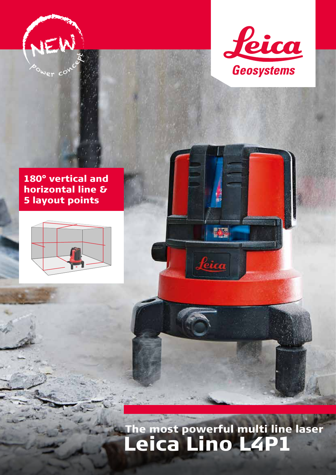



### 180° vertical and horizontal line & 5 layout points



# The most powerful multi line laser Leica Lino L4P1

图